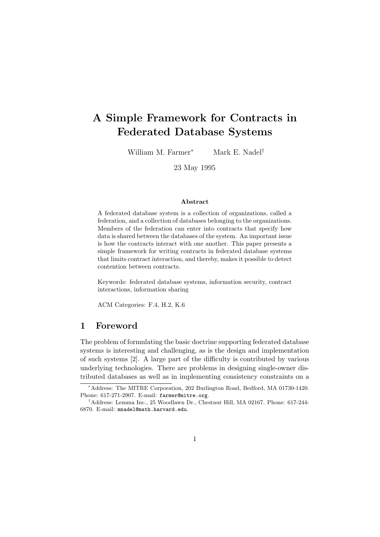# A Simple Framework for Contracts in Federated Database Systems

William M. Farmer<sup>∗</sup> Mark E. Nadel<sup>†</sup>

23 May 1995

#### Abstract

A federated database system is a collection of organizations, called a federation, and a collection of databases belonging to the organizations. Members of the federation can enter into contracts that specify how data is shared between the databases of the system. An important issue is how the contracts interact with one another. This paper presents a simple framework for writing contracts in federated database systems that limits contract interaction, and thereby, makes it possible to detect contention between contracts.

Keywords: federated database systems, information security, contract interactions, information sharing

ACM Categories: F.4, H.2, K.6

## 1 Foreword

The problem of formulating the basic doctrine supporting federated database systems is interesting and challenging, as is the design and implementation of such systems [2]. A large part of the difficulty is contributed by various underlying technologies. There are problems in designing single-owner distributed databases as well as in implementing consistency constraints on a

<sup>∗</sup>Address: The MITRE Corporation, 202 Burlington Road, Bedford, MA 01730-1420. Phone: 617-271-2907. E-mail: farmer@mitre.org.

<sup>†</sup>Address: Lemma Inc., 25 Woodlawn Dr., Chestnut Hill, MA 02167. Phone: 617-244- 6870. E-mail: mnadel@math.harvard.edu.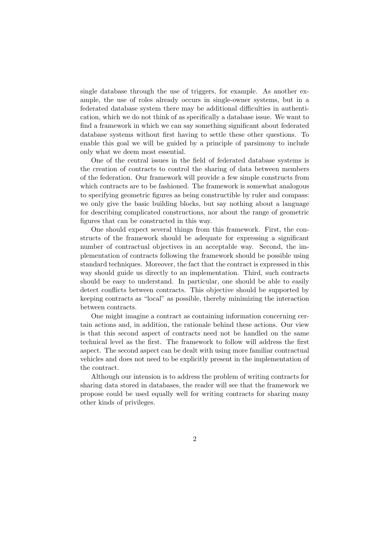single database through the use of triggers, for example. As another example, the use of roles already occurs in single-owner systems, but in a federated database system there may be additional difficulties in authentication, which we do not think of as specifically a database issue. We want to find a framework in which we can say something significant about federated database systems without first having to settle these other questions. To enable this goal we will be guided by a principle of parsimony to include only what we deem most essential.

One of the central issues in the field of federated database systems is the creation of contracts to control the sharing of data between members of the federation. Our framework will provide a few simple constructs from which contracts are to be fashioned. The framework is somewhat analogous to specifying geometric figures as being constructible by ruler and compass: we only give the basic building blocks, but say nothing about a language for describing complicated constructions, nor about the range of geometric figures that can be constructed in this way.

One should expect several things from this framework. First, the constructs of the framework should be adequate for expressing a significant number of contractual objectives in an acceptable way. Second, the implementation of contracts following the framework should be possible using standard techniques. Moreover, the fact that the contract is expressed in this way should guide us directly to an implementation. Third, such contracts should be easy to understand. In particular, one should be able to easily detect conflicts between contracts. This objective should be supported by keeping contracts as "local" as possible, thereby minimizing the interaction between contracts.

One might imagine a contract as containing information concerning certain actions and, in addition, the rationale behind these actions. Our view is that this second aspect of contracts need not be handled on the same technical level as the first. The framework to follow will address the first aspect. The second aspect can be dealt with using more familiar contractual vehicles and does not need to be explicitly present in the implementation of the contract.

Although our intension is to address the problem of writing contracts for sharing data stored in databases, the reader will see that the framework we propose could be used equally well for writing contracts for sharing many other kinds of privileges.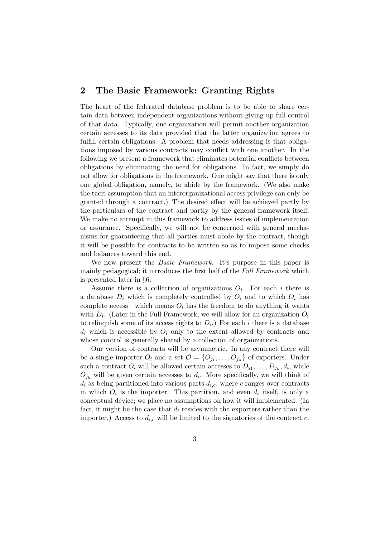## 2 The Basic Framework: Granting Rights

The heart of the federated database problem is to be able to share certain data between independent organizations without giving up full control of that data. Typically, one organization will permit another organization certain accesses to its data provided that the latter organization agrees to fulfill certain obligations. A problem that needs addressing is that obligations imposed by various contracts may conflict with one another. In the following we present a framework that eliminates potential conflicts between obligations by eliminating the need for obligations. In fact, we simply do not allow for obligations in the framework. One might say that there is only one global obligation, namely, to abide by the framework. (We also make the tacit assumption that an interorganizational access privilege can only be granted through a contract.) The desired effect will be achieved partly by the particulars of the contract and partly by the general framework itself. We make no attempt in this framework to address issues of implementation or assurance. Specifically, we will not be concerned with general mechanisms for guaranteeing that all parties must abide by the contract, though it will be possible for contracts to be written so as to impose some checks and balances toward this end.

We now present the *Basic Framework*. It's purpose in this paper is mainly pedagogical; it introduces the first half of the Full Framework which is presented later in §6.

Assume there is a collection of organizations  $O_i$ . For each i there is a database  $D_i$  which is completely controlled by  $O_i$  and to which  $O_i$  has complete access—which means  $O_i$  has the freedom to do anything it wants with  $D_i$ . (Later in the Full Framework, we will allow for an organization  $O_i$ to relinquish some of its access rights to  $D_i$ .) For each i there is a database  $d_i$  which is accessible by  $O_i$  only to the extent allowed by contracts and whose control is generally shared by a collection of organizations.

Our version of contracts will be asymmetric. In any contract there will be a single importer  $O_i$  and a set  $\mathcal{O} = \{O_{j_1}, \ldots, O_{j_n}\}\$  of exporters. Under such a contract  $O_i$  will be allowed certain accesses to  $D_{j_1}, \ldots, D_{j_n}, d_i$ , while  $O_{j_k}$  will be given certain accesses to  $d_i$ . More specifically, we will think of  $d_i$  as being partitioned into various parts  $d_{i,c}$ , where c ranges over contracts in which  $O_i$  is the importer. This partition, and even  $d_i$  itself, is only a conceptual device; we place no assumptions on how it will implemented. (In fact, it might be the case that  $d_i$  resides with the exporters rather than the importer.) Access to  $d_{i,c}$  will be limited to the signatories of the contract c.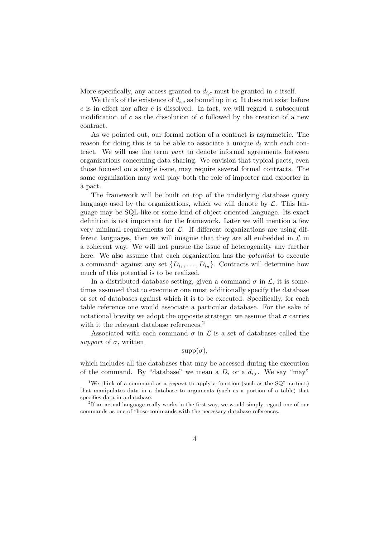More specifically, any access granted to  $d_{i,c}$  must be granted in c itself.

We think of the existence of  $d_{i,c}$  as bound up in c. It does not exist before c is in effect nor after c is dissolved. In fact, we will regard a subsequent modification of  $c$  as the dissolution of  $c$  followed by the creation of a new contract.

As we pointed out, our formal notion of a contract is asymmetric. The reason for doing this is to be able to associate a unique  $d_i$  with each contract. We will use the term pact to denote informal agreements between organizations concerning data sharing. We envision that typical pacts, even those focused on a single issue, may require several formal contracts. The same organization may well play both the role of importer and exporter in a pact.

The framework will be built on top of the underlying database query language used by the organizations, which we will denote by  $\mathcal{L}$ . This language may be SQL-like or some kind of object-oriented language. Its exact definition is not important for the framework. Later we will mention a few very minimal requirements for  $\mathcal{L}$ . If different organizations are using different languages, then we will imagine that they are all embedded in  $\mathcal L$  in a coherent way. We will not pursue the issue of heterogeneity any further here. We also assume that each organization has the potential to execute a command<sup>1</sup> against any set  $\{D_{i_1}, \ldots, D_{i_n}\}$ . Contracts will determine how much of this potential is to be realized.

In a distributed database setting, given a command  $\sigma$  in  $\mathcal{L}$ , it is sometimes assumed that to execute  $\sigma$  one must additionally specify the database or set of databases against which it is to be executed. Specifically, for each table reference one would associate a particular database. For the sake of notational brevity we adopt the opposite strategy: we assume that  $\sigma$  carries with it the relevant database references.<sup>2</sup>

Associated with each command  $\sigma$  in  $\mathcal L$  is a set of databases called the support of  $\sigma$ , written

 $supp(\sigma)$ ,

which includes all the databases that may be accessed during the execution of the command. By "database" we mean a  $D_i$  or a  $d_{i,c}$ . We say "may"

<sup>&</sup>lt;sup>1</sup>We think of a command as a *request* to apply a function (such as the SQL select) that manipulates data in a database to arguments (such as a portion of a table) that specifies data in a database.

 $2$ If an actual language really works in the first way, we would simply regard one of our commands as one of those commands with the necessary database references.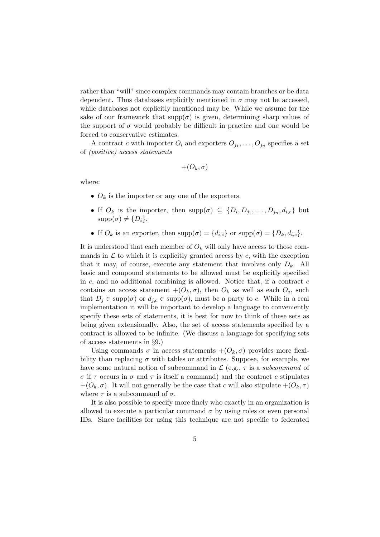rather than "will" since complex commands may contain branches or be data dependent. Thus databases explicitly mentioned in  $\sigma$  may not be accessed, while databases not explicitly mentioned may be. While we assume for the sake of our framework that  $supp(\sigma)$  is given, determining sharp values of the support of  $\sigma$  would probably be difficult in practice and one would be forced to conservative estimates.

A contract c with importer  $O_i$  and exporters  $O_{j_1}, \ldots, O_{j_n}$  specifies a set of (positive) access statements

$$
+(O_k,\sigma)
$$

where:

- $O_k$  is the importer or any one of the exporters.
- If  $O_k$  is the importer, then  $\text{supp}(\sigma) \subseteq \{D_i, D_{j_1}, \ldots, D_{j_n}, d_{i,c}\}\$  but  $supp(\sigma) \neq \{D_i\}.$
- If  $O_k$  is an exporter, then  $supp(\sigma) = \{d_{i,c}\}\$  or  $supp(\sigma) = \{D_k, d_{i,c}\}\$ .

It is understood that each member of  $O_k$  will only have access to those commands in  $\mathcal L$  to which it is explicitly granted access by c, with the exception that it may, of course, execute any statement that involves only  $D_k$ . All basic and compound statements to be allowed must be explicitly specified in  $c$ , and no additional combining is allowed. Notice that, if a contract  $c$ contains an access statement  $+(O_k, \sigma)$ , then  $O_k$  as well as each  $O_j$ , such that  $D_j \in \text{supp}(\sigma)$  or  $d_{j,c} \in \text{supp}(\sigma)$ , must be a party to c. While in a real implementation it will be important to develop a language to conveniently specify these sets of statements, it is best for now to think of these sets as being given extensionally. Also, the set of access statements specified by a contract is allowed to be infinite. (We discuss a language for specifying sets of access statements in §9.)

Using commands  $\sigma$  in access statements  $+(O_k, \sigma)$  provides more flexibility than replacing  $\sigma$  with tables or attributes. Suppose, for example, we have some natural notion of subcommand in  $\mathcal{L}$  (e.g.,  $\tau$  is a subcommand of σ if τ occurs in σ and τ is itself a command) and the contract c stipulates  $+(O_k, \sigma)$ . It will not generally be the case that c will also stipulate  $+(O_k, \tau)$ where  $\tau$  is a subcommand of  $\sigma$ .

It is also possible to specify more finely who exactly in an organization is allowed to execute a particular command  $\sigma$  by using roles or even personal IDs. Since facilities for using this technique are not specific to federated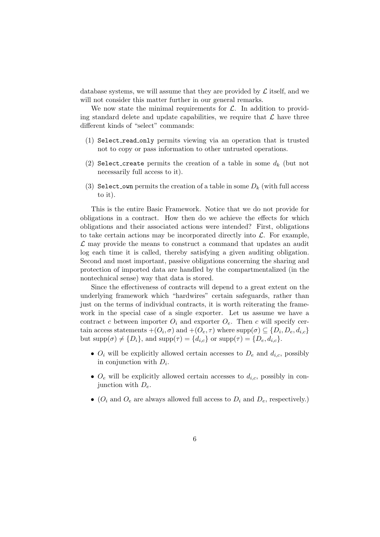database systems, we will assume that they are provided by  $\mathcal L$  itself, and we will not consider this matter further in our general remarks.

We now state the minimal requirements for  $\mathcal{L}$ . In addition to providing standard delete and update capabilities, we require that  $\mathcal L$  have three different kinds of "select" commands:

- (1) Select read only permits viewing via an operation that is trusted not to copy or pass information to other untrusted operations.
- (2) Select\_create permits the creation of a table in some  $d_k$  (but not necessarily full access to it).
- (3) Select own permits the creation of a table in some  $D_k$  (with full access to it).

This is the entire Basic Framework. Notice that we do not provide for obligations in a contract. How then do we achieve the effects for which obligations and their associated actions were intended? First, obligations to take certain actions may be incorporated directly into  $\mathcal{L}$ . For example,  $\mathcal L$  may provide the means to construct a command that updates an audit log each time it is called, thereby satisfying a given auditing obligation. Second and most important, passive obligations concerning the sharing and protection of imported data are handled by the compartmentalized (in the nontechnical sense) way that data is stored.

Since the effectiveness of contracts will depend to a great extent on the underlying framework which "hardwires" certain safeguards, rather than just on the terms of individual contracts, it is worth reiterating the framework in the special case of a single exporter. Let us assume we have a contract c between importer  $O_i$  and exporter  $O_e$ . Then c will specify certain access statements  $+(O_i, \sigma)$  and  $+(O_e, \tau)$  where  $\text{supp}(\sigma) \subseteq \{D_i, D_e, d_{i,c}\}\$ but  $\text{supp}(\sigma) \neq \{D_i\}$ , and  $\text{supp}(\tau) = \{d_{i,c}\}\$  or  $\text{supp}(\tau) = \{D_e, d_{i,c}\}.$ 

- $O_i$  will be explicitly allowed certain accesses to  $D_e$  and  $d_{i,c}$ , possibly in conjunction with  $D_i$ .
- $O_e$  will be explicitly allowed certain accesses to  $d_{i,c}$ , possibly in conjunction with  $D_e$ .
- ( $O_i$  and  $O_e$  are always allowed full access to  $D_i$  and  $D_e$ , respectively.)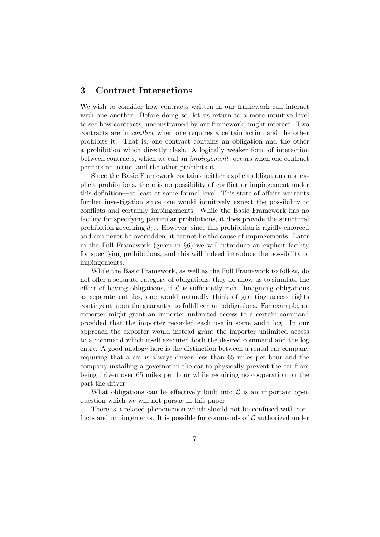## 3 Contract Interactions

We wish to consider how contracts written in our framework can interact with one another. Before doing so, let us return to a more intuitive level to see how contracts, unconstrained by our framework, might interact. Two contracts are in conflict when one requires a certain action and the other prohibits it. That is, one contract contains an obligation and the other a prohibition which directly clash. A logically weaker form of interaction between contracts, which we call an impingement, occurs when one contract permits an action and the other prohibits it.

Since the Basic Framework contains neither explicit obligations nor explicit prohibitions, there is no possibility of conflict or impingement under this definition—at least at some formal level. This state of affairs warrants further investigation since one would intuitively expect the possibility of conflicts and certainly impingements. While the Basic Framework has no facility for specifying particular prohibitions, it does provide the structural prohibition governing  $d_{i,c}$ . However, since this prohibition is rigidly enforced and can never be overridden, it cannot be the cause of impingements. Later in the Full Framework (given in  $\S6$ ) we will introduce an explicit facility for specifying prohibitions, and this will indeed introduce the possibility of impingements.

While the Basic Framework, as well as the Full Framework to follow, do not offer a separate category of obligations, they do allow us to simulate the effect of having obligations, if  $\mathcal L$  is sufficiently rich. Imagining obligations as separate entities, one would naturally think of granting access rights contingent upon the guarantee to fulfill certain obligations. For example, an exporter might grant an importer unlimited access to a certain command provided that the importer recorded each use in some audit log. In our approach the exporter would instead grant the importer unlimited access to a command which itself executed both the desired command and the log entry. A good analogy here is the distinction between a rental car company requiring that a car is always driven less than 65 miles per hour and the company installing a governor in the car to physically prevent the car from being driven over 65 miles per hour while requiring no cooperation on the part the driver.

What obligations can be effectively built into  $\mathcal L$  is an important open question which we will not pursue in this paper.

There is a related phenomenon which should not be confused with conflicts and impingements. It is possible for commands of  $\mathcal L$  authorized under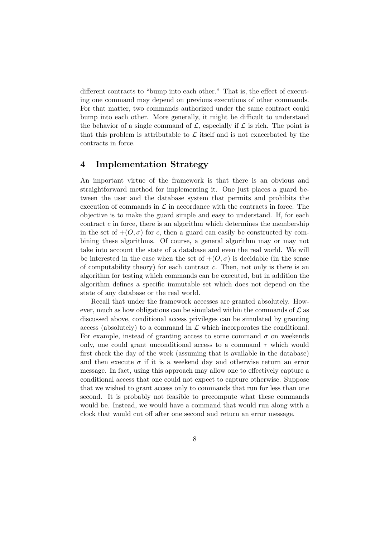different contracts to "bump into each other." That is, the effect of executing one command may depend on previous executions of other commands. For that matter, two commands authorized under the same contract could bump into each other. More generally, it might be difficult to understand the behavior of a single command of  $\mathcal{L}$ , especially if  $\mathcal{L}$  is rich. The point is that this problem is attributable to  $\mathcal L$  itself and is not exacerbated by the contracts in force.

## 4 Implementation Strategy

An important virtue of the framework is that there is an obvious and straightforward method for implementing it. One just places a guard between the user and the database system that permits and prohibits the execution of commands in  $\mathcal L$  in accordance with the contracts in force. The objective is to make the guard simple and easy to understand. If, for each contract  $c$  in force, there is an algorithm which determines the membership in the set of  $+(O, \sigma)$  for c, then a guard can easily be constructed by combining these algorithms. Of course, a general algorithm may or may not take into account the state of a database and even the real world. We will be interested in the case when the set of  $+(O, \sigma)$  is decidable (in the sense of computability theory) for each contract  $c$ . Then, not only is there is an algorithm for testing which commands can be executed, but in addition the algorithm defines a specific immutable set which does not depend on the state of any database or the real world.

Recall that under the framework accesses are granted absolutely. However, much as how obligations can be simulated within the commands of  $\mathcal L$  as discussed above, conditional access privileges can be simulated by granting access (absolutely) to a command in  $\mathcal L$  which incorporates the conditional. For example, instead of granting access to some command  $\sigma$  on weekends only, one could grant unconditional access to a command  $\tau$  which would first check the day of the week (assuming that is available in the database) and then execute  $\sigma$  if it is a weekend day and otherwise return an error message. In fact, using this approach may allow one to effectively capture a conditional access that one could not expect to capture otherwise. Suppose that we wished to grant access only to commands that run for less than one second. It is probably not feasible to precompute what these commands would be. Instead, we would have a command that would run along with a clock that would cut off after one second and return an error message.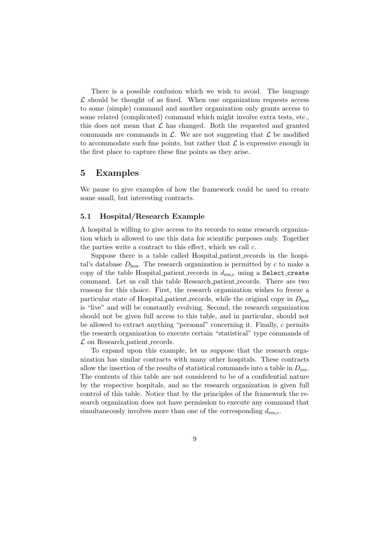There is a possible confusion which we wish to avoid. The language  $\mathcal L$  should be thought of as fixed. When one organization requests access to some (simple) command and another organization only grants access to some related (complicated) command which might involve extra tests, etc., this does not mean that  $\mathcal L$  has changed. Both the requested and granted commands are commands in  $\mathcal{L}$ . We are not suggesting that  $\mathcal{L}$  be modified to accommodate such fine points, but rather that  $\mathcal L$  is expressive enough in the first place to capture these fine points as they arise.

## 5 Examples

We pause to give examples of how the framework could be used to create some small, but interesting contracts.

#### 5.1 Hospital/Research Example

A hospital is willing to give access to its records to some research organization which is allowed to use this data for scientific purposes only. Together the parties write a contract to this effect, which we call c.

Suppose there is a table called Hospital patient records in the hospital's database  $D_{\text{hos}}$ . The research organization is permitted by c to make a copy of the table Hospital patient records in  $d_{res,c}$  using a Select create command. Let us call this table Research patient records. There are two reasons for this choice. First, the research organization wishes to freeze a particular state of Hospital patient records, while the original copy in  $D_{\text{hos}}$ is "live" and will be constantly evolving. Second, the research organization should not be given full access to this table, and in particular, should not be allowed to extract anything "personal" concerning it. Finally, c permits the research organization to execute certain "statistical" type commands of  $\mathcal L$  on Research patient records.

To expand upon this example, let us suppose that the research organization has similar contracts with many other hospitals. These contracts allow the insertion of the results of statistical commands into a table in  $D_{\text{res}}$ . The contents of this table are not considered to be of a confidential nature by the respective hospitals, and so the research organization is given full control of this table. Notice that by the principles of the framework the research organization does not have permission to execute any command that simultaneously involves more than one of the corresponding  $d_{res,c}$ .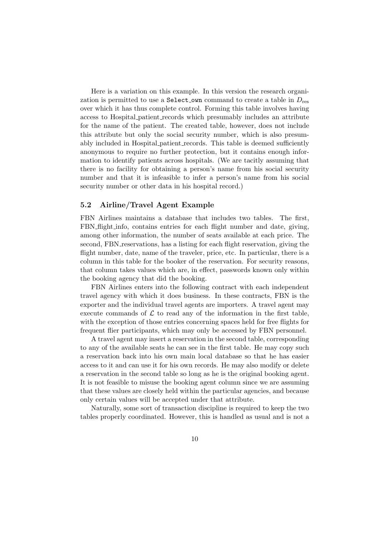Here is a variation on this example. In this version the research organization is permitted to use a Select own command to create a table in  $D_{\text{res}}$ over which it has thus complete control. Forming this table involves having access to Hospital patient records which presumably includes an attribute for the name of the patient. The created table, however, does not include this attribute but only the social security number, which is also presumably included in Hospital patient records. This table is deemed sufficiently anonymous to require no further protection, but it contains enough information to identify patients across hospitals. (We are tacitly assuming that there is no facility for obtaining a person's name from his social security number and that it is infeasible to infer a person's name from his social security number or other data in his hospital record.)

#### 5.2 Airline/Travel Agent Example

FBN Airlines maintains a database that includes two tables. The first, FBN flight info, contains entries for each flight number and date, giving, among other information, the number of seats available at each price. The second, FBN reservations, has a listing for each flight reservation, giving the flight number, date, name of the traveler, price, etc. In particular, there is a column in this table for the booker of the reservation. For security reasons, that column takes values which are, in effect, passwords known only within the booking agency that did the booking.

FBN Airlines enters into the following contract with each independent travel agency with which it does business. In these contracts, FBN is the exporter and the individual travel agents are importers. A travel agent may execute commands of  $\mathcal L$  to read any of the information in the first table, with the exception of those entries concerning spaces held for free flights for frequent flier participants, which may only be accessed by FBN personnel.

A travel agent may insert a reservation in the second table, corresponding to any of the available seats he can see in the first table. He may copy such a reservation back into his own main local database so that he has easier access to it and can use it for his own records. He may also modify or delete a reservation in the second table so long as he is the original booking agent. It is not feasible to misuse the booking agent column since we are assuming that these values are closely held within the particular agencies, and because only certain values will be accepted under that attribute.

Naturally, some sort of transaction discipline is required to keep the two tables properly coordinated. However, this is handled as usual and is not a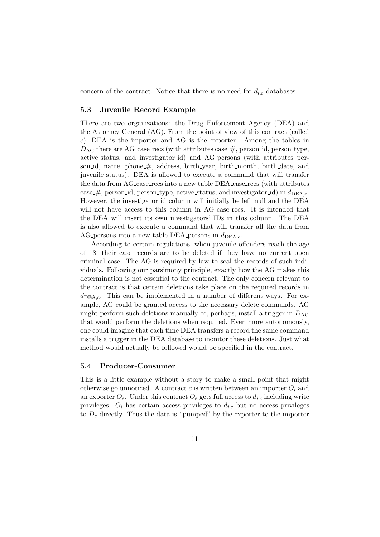concern of the contract. Notice that there is no need for  $d_{i,c}$  databases.

#### 5.3 Juvenile Record Example

There are two organizations: the Drug Enforcement Agency (DEA) and the Attorney General (AG). From the point of view of this contract (called c), DEA is the importer and AG is the exporter. Among the tables in  $D_{\text{AG}}$  there are AG case recs (with attributes case  $\#$ , person id, person type, active status, and investigator id) and AG persons (with attributes person id, name, phone  $\#$ , address, birth year, birth month, birth date, and juvenile status). DEA is allowed to execute a command that will transfer the data from AG case recs into a new table DEA case recs (with attributes case  $\#$ , person id, person type, active status, and investigator id) in  $d_{DEA.c.}$ However, the investigator id column will initially be left null and the DEA will not have access to this column in AG case recs. It is intended that the DEA will insert its own investigators' IDs in this column. The DEA is also allowed to execute a command that will transfer all the data from AG persons into a new table DEA persons in  $d_{DEAC}$ .

According to certain regulations, when juvenile offenders reach the age of 18, their case records are to be deleted if they have no current open criminal case. The AG is required by law to seal the records of such individuals. Following our parsimony principle, exactly how the AG makes this determination is not essential to the contract. The only concern relevant to the contract is that certain deletions take place on the required records in  $d_{DEA,c}$ . This can be implemented in a number of different ways. For example, AG could be granted access to the necessary delete commands. AG might perform such deletions manually or, perhaps, install a trigger in  $D_{\text{AG}}$ that would perform the deletions when required. Even more autonomously, one could imagine that each time DEA transfers a record the same command installs a trigger in the DEA database to monitor these deletions. Just what method would actually be followed would be specified in the contract.

#### 5.4 Producer-Consumer

This is a little example without a story to make a small point that might otherwise go unnoticed. A contract c is written between an importer  $O_i$  and an exporter  $O_e$ . Under this contract  $O_e$  gets full access to  $d_{i,c}$  including write privileges.  $O_i$  has certain access privileges to  $d_{i,c}$  but no access privileges to  $D_e$  directly. Thus the data is "pumped" by the exporter to the importer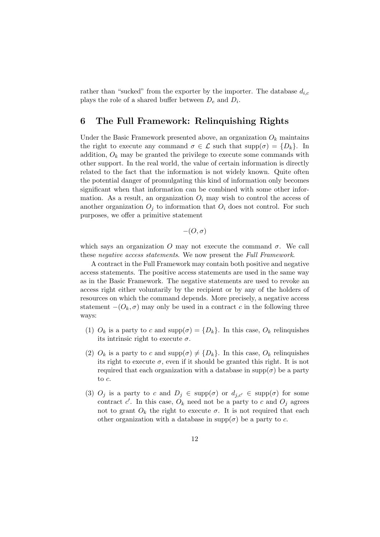rather than "sucked" from the exporter by the importer. The database  $d_{i,c}$ plays the role of a shared buffer between  $D_e$  and  $D_i$ .

## 6 The Full Framework: Relinquishing Rights

Under the Basic Framework presented above, an organization  $O_k$  maintains the right to execute any command  $\sigma \in \mathcal{L}$  such that  $\text{supp}(\sigma) = \{D_k\}.$  In addition,  $O_k$  may be granted the privilege to execute some commands with other support. In the real world, the value of certain information is directly related to the fact that the information is not widely known. Quite often the potential danger of promulgating this kind of information only becomes significant when that information can be combined with some other information. As a result, an organization  $O_i$  may wish to control the access of another organization  $O_i$  to information that  $O_i$  does not control. For such purposes, we offer a primitive statement

$$
-(O,\sigma)
$$

which says an organization O may not execute the command  $\sigma$ . We call these negative access statements. We now present the Full Framework.

A contract in the Full Framework may contain both positive and negative access statements. The positive access statements are used in the same way as in the Basic Framework. The negative statements are used to revoke an access right either voluntarily by the recipient or by any of the holders of resources on which the command depends. More precisely, a negative access statement  $-(O_k, \sigma)$  may only be used in a contract c in the following three ways:

- (1)  $O_k$  is a party to c and supp $(\sigma) = \{D_k\}$ . In this case,  $O_k$  relinquishes its intrinsic right to execute  $\sigma$ .
- (2)  $O_k$  is a party to c and supp $(\sigma) \neq \{D_k\}$ . In this case,  $O_k$  relinquishes its right to execute  $\sigma$ , even if it should be granted this right. It is not required that each organization with a database in  $supp(\sigma)$  be a party to c.
- (3)  $O_j$  is a party to c and  $D_j \in \text{supp}(\sigma)$  or  $d_{j,c'} \in \text{supp}(\sigma)$  for some contract c'. In this case,  $O_k$  need not be a party to c and  $O_j$  agrees not to grant  $O_k$  the right to execute  $\sigma$ . It is not required that each other organization with a database in  $supp(\sigma)$  be a party to c.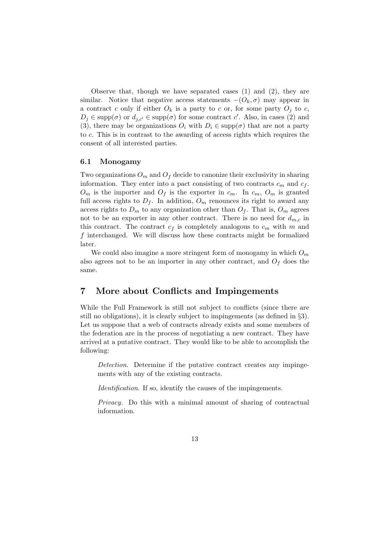Observe that, though we have separated cases (1) and (2), they are similar. Notice that negative access statements  $-(O_k, \sigma)$  may appear in a contract c only if either  $O_k$  is a party to c or, for some party  $O_i$  to c,  $D_j \in \text{supp}(\sigma)$  or  $d_{j,c'} \in \text{supp}(\sigma)$  for some contract c'. Also, in cases (2) and (3), there may be organizations  $O_i$  with  $D_i \in \text{supp}(\sigma)$  that are not a party to c. This is in contrast to the awarding of access rights which requires the consent of all interested parties.

#### 6.1 Monogamy

Two organizations  $O_m$  and  $O_f$  decide to canonize their exclusivity in sharing information. They enter into a pact consisting of two contracts  $c_m$  and  $c_f$ .  $O_m$  is the importer and  $O_f$  is the exporter in  $c_m$ . In  $c_m$ ,  $O_m$  is granted full access rights to  $D_f$ . In addition,  $O_m$  renounces its right to award any access rights to  $D_m$  to any organization other than  $O_f$ . That is,  $O_m$  agrees not to be an exporter in any other contract. There is no need for  $d_{m,c}$  in this contract. The contract  $c_f$  is completely analogous to  $c_m$  with m and f interchanged. We will discuss how these contracts might be formalized later.

We could also imagine a more stringent form of monogamy in which  $O_m$ also agrees not to be an importer in any other contract, and  $O_f$  does the same.

## 7 More about Conflicts and Impingements

While the Full Framework is still not subject to conflicts (since there are still no obligations), it is clearly subject to impingements (as defined in §3). Let us suppose that a web of contracts already exists and some members of the federation are in the process of negotiating a new contract. They have arrived at a putative contract. They would like to be able to accomplish the following:

Detection. Determine if the putative contract creates any impingements with any of the existing contracts.

Identification. If so, identify the causes of the impingements.

Privacy. Do this with a minimal amount of sharing of contractual information.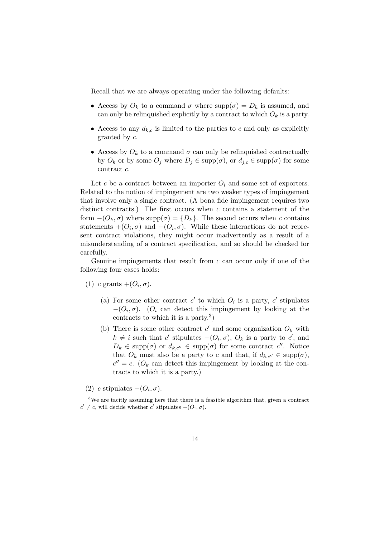Recall that we are always operating under the following defaults:

- Access by  $O_k$  to a command  $\sigma$  where  $supp(\sigma) = D_k$  is assumed, and can only be relinquished explicitly by a contract to which  $O_k$  is a party.
- Access to any  $d_{k,c}$  is limited to the parties to c and only as explicitly granted by c.
- Access by  $O_k$  to a command  $\sigma$  can only be relinquished contractually by  $O_k$  or by some  $O_j$  where  $D_j \in \text{supp}(\sigma)$ , or  $d_{j,c} \in \text{supp}(\sigma)$  for some contract c.

Let c be a contract between an importer  $O_i$  and some set of exporters. Related to the notion of impingement are two weaker types of impingement that involve only a single contract. (A bona fide impingement requires two distinct contracts.) The first occurs when  $c$  contains a statement of the form  $-(O_k, \sigma)$  where supp $(\sigma) = \{D_k\}$ . The second occurs when c contains statements  $+(O_i, \sigma)$  and  $-(O_i, \sigma)$ . While these interactions do not represent contract violations, they might occur inadvertently as a result of a misunderstanding of a contract specification, and so should be checked for carefully.

Genuine impingements that result from  $c$  can occur only if one of the following four cases holds:

- (1) c grants  $+(O_i, \sigma)$ .
	- (a) For some other contract  $c'$  to which  $O_i$  is a party,  $c'$  stipulates  $-(O_i, \sigma)$ . ( $O_i$  can detect this impingement by looking at the contracts to which it is a party.<sup>3</sup>)
	- (b) There is some other contract  $c'$  and some organization  $O_k$  with  $k \neq i$  such that c' stipulates  $-(O_i, \sigma)$ ,  $O_k$  is a party to c', and  $D_k \in \text{supp}(\sigma)$  or  $d_{k,c''} \in \text{supp}(\sigma)$  for some contract  $c''$ . Notice that  $O_k$  must also be a party to c and that, if  $d_{k,c''} \in \text{supp}(\sigma)$ ,  $c'' = c$ . (O<sub>k</sub> can detect this impingement by looking at the contracts to which it is a party.)

(2) c stipulates  $-(O_i, \sigma)$ .

<sup>&</sup>lt;sup>3</sup>We are tacitly assuming here that there is a feasible algorithm that, given a contract  $c' \neq c$ , will decide whether c' stipulates  $-(O_i, \sigma)$ .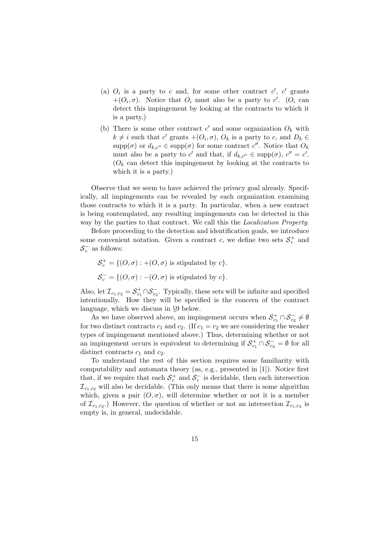- (a)  $O_i$  is a party to c and, for some other contract  $c'$ ,  $c'$  grants  $+(O_i, \sigma)$ . Notice that  $O_i$  must also be a party to c'. ( $O_i$  can detect this impingement by looking at the contracts to which it is a party.)
- (b) There is some other contract  $c'$  and some organization  $O_k$  with  $k \neq i$  such that  $c'$  grants  $+(O_i, \sigma)$ ,  $O_k$  is a party to  $c$ , and  $D_k \in$  $\text{supp}(\sigma)$  or  $d_{k,c''} \in \text{supp}(\sigma)$  for some contract  $c''$ . Notice that  $O_k$ must also be a party to c' and that, if  $d_{k,c''} \in \text{supp}(\sigma)$ ,  $c'' = c'$ .  $(O_k \text{ can detect this impingement by looking at the contracts to }$ which it is a party.)

Observe that we seem to have achieved the privacy goal already. Specifically, all impingements can be revealed by each organization examining those contracts to which it is a party. In particular, when a new contract is being contemplated, any resulting impingements can be detected in this way by the parties to that contract. We call this the Localization Property.

Before proceeding to the detection and identification goals, we introduce some convenient notation. Given a contract c, we define two sets  $S_c^+$  and  $S_c^-$  as follows:

$$
\mathcal{S}_c^+ = \{ (O, \sigma) : +(O, \sigma) \text{ is stipulated by c} \}.
$$
  

$$
\mathcal{S}_c^- = \{ (O, \sigma) : -(O, \sigma) \text{ is stipulated by c} \}.
$$

Also, let  $\mathcal{I}_{c_1,c_2} = \mathcal{S}_{c_1}^+ \cap \mathcal{S}_{c_2}^-$ . Typically, these sets will be infinite and specified intentionally. How they will be specified is the concern of the contract language, which we discuss in §9 below.

As we have observed above, an impingement occurs when  $S_{c_1}^+\cap S_{c_2}^-\neq\emptyset$ for two distinct contracts  $c_1$  and  $c_2$ . (If  $c_1 = c_2$  we are considering the weaker types of impingement mentioned above.) Thus, determining whether or not an impingement occurs is equivalent to determining if  $S_{c_1}^+ \cap S_{c_2}^- = \emptyset$  for all distinct contracts  $c_1$  and  $c_2$ .

To understand the rest of this section requires some familiarity with computability and automata theory (as, e.g., presented in [1]). Notice first that, if we require that each  $S_c^+$  and  $S_c^ \overline{c}$  is decidable, then each intersection  $\mathcal{I}_{c_1,c_2}$  will also be decidable. (This only means that there is some algorithm which, given a pair  $(O, \sigma)$ , will determine whether or not it is a member of  $\mathcal{I}_{c_1,c_2}$ . However, the question of whether or not an intersection  $\mathcal{I}_{c_1,c_2}$  is empty is, in general, undecidable.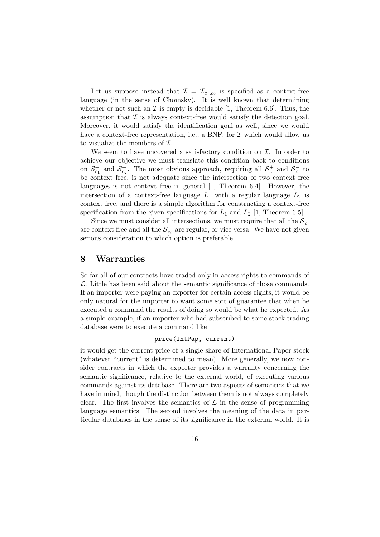Let us suppose instead that  $\mathcal{I} = \mathcal{I}_{c_1,c_2}$  is specified as a context-free language (in the sense of Chomsky). It is well known that determining whether or not such an  $\mathcal I$  is empty is decidable [1, Theorem 6.6]. Thus, the assumption that  $\mathcal I$  is always context-free would satisfy the detection goal. Moreover, it would satisfy the identification goal as well, since we would have a context-free representation, i.e., a BNF, for  $\mathcal I$  which would allow us to visualize the members of  $\mathcal{I}$ .

We seem to have uncovered a satisfactory condition on  $\mathcal{I}$ . In order to achieve our objective we must translate this condition back to conditions on  $S_{c_1}^+$  and  $S_{c_2}^ \overline{c}_2^{\text{-}}$ . The most obvious approach, requiring all  $\mathcal{S}_c^+$  and  $\mathcal{S}_c^ \frac{c}{c}$  to be context free, is not adequate since the intersection of two context free languages is not context free in general [1, Theorem 6.4]. However, the intersection of a context-free language  $L_1$  with a regular language  $L_2$  is context free, and there is a simple algorithm for constructing a context-free specification from the given specifications for  $L_1$  and  $L_2$  [1, Theorem 6.5].

Since we must consider all intersections, we must require that all the  $\mathcal{S}_c^+$ are context free and all the  $S_{c}^ _{c_2}^-$  are regular, or vice versa. We have not given serious consideration to which option is preferable.

#### 8 Warranties

So far all of our contracts have traded only in access rights to commands of  $\mathcal{L}$ . Little has been said about the semantic significance of those commands. If an importer were paying an exporter for certain access rights, it would be only natural for the importer to want some sort of guarantee that when he executed a command the results of doing so would be what he expected. As a simple example, if an importer who had subscribed to some stock trading database were to execute a command like

#### price(IntPap, current)

it would get the current price of a single share of International Paper stock (whatever "current" is determined to mean). More generally, we now consider contracts in which the exporter provides a warranty concerning the semantic significance, relative to the external world, of executing various commands against its database. There are two aspects of semantics that we have in mind, though the distinction between them is not always completely clear. The first involves the semantics of  $\mathcal L$  in the sense of programming language semantics. The second involves the meaning of the data in particular databases in the sense of its significance in the external world. It is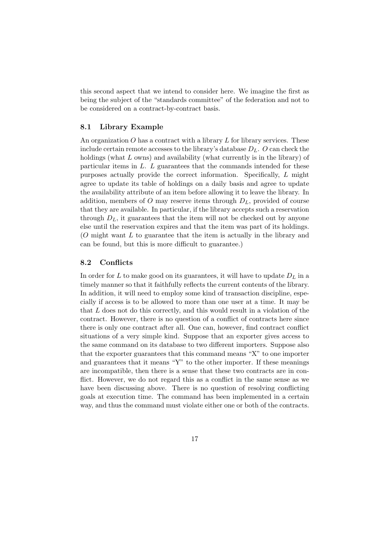this second aspect that we intend to consider here. We imagine the first as being the subject of the "standards committee" of the federation and not to be considered on a contract-by-contract basis.

#### 8.1 Library Example

An organization  $O$  has a contract with a library  $L$  for library services. These include certain remote accesses to the library's database  $D<sub>L</sub>$ . O can check the holdings (what L owns) and availability (what currently is in the library) of particular items in L. L guarantees that the commands intended for these purposes actually provide the correct information. Specifically, L might agree to update its table of holdings on a daily basis and agree to update the availability attribute of an item before allowing it to leave the library. In addition, members of O may reserve items through  $D<sub>L</sub>$ , provided of course that they are available. In particular, if the library accepts such a reservation through  $D_L$ , it guarantees that the item will not be checked out by anyone else until the reservation expires and that the item was part of its holdings. (O might want L to guarantee that the item is actually in the library and can be found, but this is more difficult to guarantee.)

#### 8.2 Conflicts

In order for L to make good on its guarantees, it will have to update  $D<sub>L</sub>$  in a timely manner so that it faithfully reflects the current contents of the library. In addition, it will need to employ some kind of transaction discipline, especially if access is to be allowed to more than one user at a time. It may be that L does not do this correctly, and this would result in a violation of the contract. However, there is no question of a conflict of contracts here since there is only one contract after all. One can, however, find contract conflict situations of a very simple kind. Suppose that an exporter gives access to the same command on its database to two different importers. Suppose also that the exporter guarantees that this command means "X" to one importer and guarantees that it means "Y" to the other importer. If these meanings are incompatible, then there is a sense that these two contracts are in conflict. However, we do not regard this as a conflict in the same sense as we have been discussing above. There is no question of resolving conflicting goals at execution time. The command has been implemented in a certain way, and thus the command must violate either one or both of the contracts.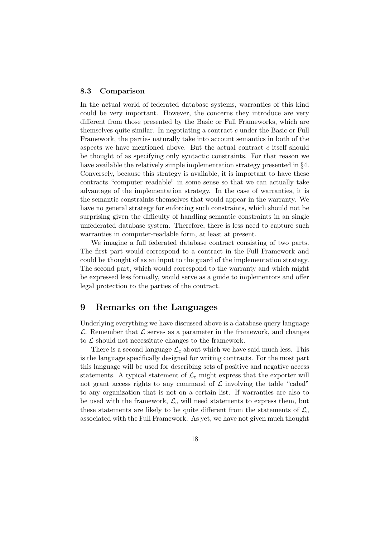#### 8.3 Comparison

In the actual world of federated database systems, warranties of this kind could be very important. However, the concerns they introduce are very different from those presented by the Basic or Full Frameworks, which are themselves quite similar. In negotiating a contract c under the Basic or Full Framework, the parties naturally take into account semantics in both of the aspects we have mentioned above. But the actual contract c itself should be thought of as specifying only syntactic constraints. For that reason we have available the relatively simple implementation strategy presented in §4. Conversely, because this strategy is available, it is important to have these contracts "computer readable" in some sense so that we can actually take advantage of the implementation strategy. In the case of warranties, it is the semantic constraints themselves that would appear in the warranty. We have no general strategy for enforcing such constraints, which should not be surprising given the difficulty of handling semantic constraints in an single unfederated database system. Therefore, there is less need to capture such warranties in computer-readable form, at least at present.

We imagine a full federated database contract consisting of two parts. The first part would correspond to a contract in the Full Framework and could be thought of as an input to the guard of the implementation strategy. The second part, which would correspond to the warranty and which might be expressed less formally, would serve as a guide to implementors and offer legal protection to the parties of the contract.

## 9 Remarks on the Languages

Underlying everything we have discussed above is a database query language  $\mathcal{L}$ . Remember that  $\mathcal{L}$  serves as a parameter in the framework, and changes to  $\mathcal L$  should not necessitate changes to the framework.

There is a second language  $\mathcal{L}_{c}$  about which we have said much less. This is the language specifically designed for writing contracts. For the most part this language will be used for describing sets of positive and negative access statements. A typical statement of  $\mathcal{L}_{c}$  might express that the exporter will not grant access rights to any command of  $\mathcal L$  involving the table "cabal" to any organization that is not on a certain list. If warranties are also to be used with the framework,  $\mathcal{L}_{c}$  will need statements to express them, but these statements are likely to be quite different from the statements of  $\mathcal{L}_c$ associated with the Full Framework. As yet, we have not given much thought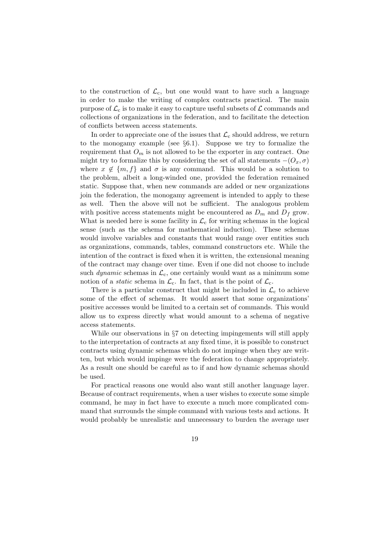to the construction of  $\mathcal{L}_{c}$ , but one would want to have such a language in order to make the writing of complex contracts practical. The main purpose of  $\mathcal{L}_c$  is to make it easy to capture useful subsets of  $\mathcal L$  commands and collections of organizations in the federation, and to facilitate the detection of conflicts between access statements.

In order to appreciate one of the issues that  $\mathcal{L}_{c}$  should address, we return to the monogamy example (see §6.1). Suppose we try to formalize the requirement that  $O_m$  is not allowed to be the exporter in any contract. One might try to formalize this by considering the set of all statements  $-(O_x, \sigma)$ where  $x \notin \{m, f\}$  and  $\sigma$  is any command. This would be a solution to the problem, albeit a long-winded one, provided the federation remained static. Suppose that, when new commands are added or new organizations join the federation, the monogamy agreement is intended to apply to these as well. Then the above will not be sufficient. The analogous problem with positive access statements might be encountered as  $D_m$  and  $D_f$  grow. What is needed here is some facility in  $\mathcal{L}_{c}$  for writing schemas in the logical sense (such as the schema for mathematical induction). These schemas would involve variables and constants that would range over entities such as organizations, commands, tables, command constructors etc. While the intention of the contract is fixed when it is written, the extensional meaning of the contract may change over time. Even if one did not choose to include such *dynamic* schemas in  $\mathcal{L}_{c}$ , one certainly would want as a minimum some notion of a *static* schema in  $\mathcal{L}_{c}$ . In fact, that is the point of  $\mathcal{L}_{c}$ .

There is a particular construct that might be included in  $\mathcal{L}_{c}$  to achieve some of the effect of schemas. It would assert that some organizations' positive accesses would be limited to a certain set of commands. This would allow us to express directly what would amount to a schema of negative access statements.

While our observations in §7 on detecting impingements will still apply to the interpretation of contracts at any fixed time, it is possible to construct contracts using dynamic schemas which do not impinge when they are written, but which would impinge were the federation to change appropriately. As a result one should be careful as to if and how dynamic schemas should be used.

For practical reasons one would also want still another language layer. Because of contract requirements, when a user wishes to execute some simple command, he may in fact have to execute a much more complicated command that surrounds the simple command with various tests and actions. It would probably be unrealistic and unnecessary to burden the average user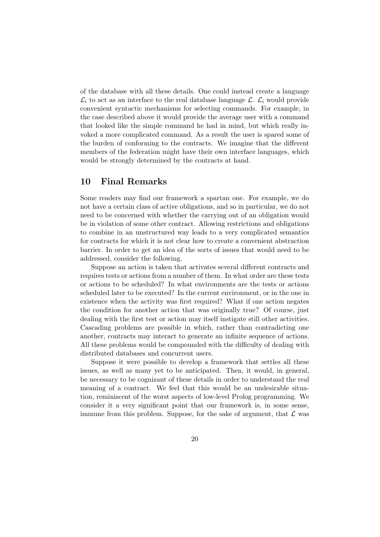of the database with all these details. One could instead create a language  $\mathcal{L}_i$  to act as an interface to the real database language  $\mathcal{L}$ .  $\mathcal{L}_i$  would provide convenient syntactic mechanisms for selecting commands. For example, in the case described above it would provide the average user with a command that looked like the simple command he had in mind, but which really invoked a more complicated command. As a result the user is spared some of the burden of conforming to the contracts. We imagine that the different members of the federation might have their own interface languages, which would be strongly determined by the contracts at hand.

## 10 Final Remarks

Some readers may find our framework a spartan one. For example, we do not have a certain class of active obligations, and so in particular, we do not need to be concerned with whether the carrying out of an obligation would be in violation of some other contract. Allowing restrictions and obligations to combine in an unstructured way leads to a very complicated semantics for contracts for which it is not clear how to create a convenient abstraction barrier. In order to get an idea of the sorts of issues that would need to be addressed, consider the following.

Suppose an action is taken that activates several different contracts and requires tests or actions from a number of them. In what order are these tests or actions to be scheduled? In what environments are the tests or actions scheduled later to be executed? In the current environment, or in the one in existence when the activity was first required? What if one action negates the condition for another action that was originally true? Of course, just dealing with the first test or action may itself instigate still other activities. Cascading problems are possible in which, rather than contradicting one another, contracts may interact to generate an infinite sequence of actions. All these problems would be compounded with the difficulty of dealing with distributed databases and concurrent users.

Suppose it were possible to develop a framework that settles all these issues, as well as many yet to be anticipated. Then, it would, in general, be necessary to be cognizant of these details in order to understand the real meaning of a contract. We feel that this would be an undesirable situation, reminiscent of the worst aspects of low-level Prolog programming. We consider it a very significant point that our framework is, in some sense, immune from this problem. Suppose, for the sake of argument, that  $\mathcal L$  was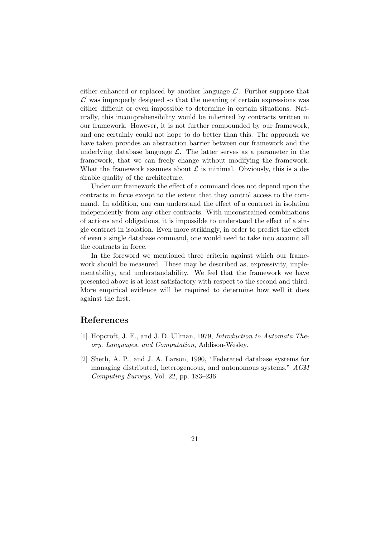either enhanced or replaced by another language  $\mathcal{L}'$ . Further suppose that  $\mathcal{L}'$  was improperly designed so that the meaning of certain expressions was either difficult or even impossible to determine in certain situations. Naturally, this incomprehensibility would be inherited by contracts written in our framework. However, it is not further compounded by our framework, and one certainly could not hope to do better than this. The approach we have taken provides an abstraction barrier between our framework and the underlying database language  $\mathcal{L}$ . The latter serves as a parameter in the framework, that we can freely change without modifying the framework. What the framework assumes about  $\mathcal L$  is minimal. Obviously, this is a desirable quality of the architecture.

Under our framework the effect of a command does not depend upon the contracts in force except to the extent that they control access to the command. In addition, one can understand the effect of a contract in isolation independently from any other contracts. With unconstrained combinations of actions and obligations, it is impossible to understand the effect of a single contract in isolation. Even more strikingly, in order to predict the effect of even a single database command, one would need to take into account all the contracts in force.

In the foreword we mentioned three criteria against which our framework should be measured. These may be described as, expressivity, implementability, and understandability. We feel that the framework we have presented above is at least satisfactory with respect to the second and third. More empirical evidence will be required to determine how well it does against the first.

## References

- [1] Hopcroft, J. E., and J. D. Ullman, 1979, Introduction to Automata Theory, Languages, and Computation, Addison-Wesley.
- [2] Sheth, A. P., and J. A. Larson, 1990, "Federated database systems for managing distributed, heterogeneous, and autonomous systems," ACM Computing Surveys, Vol. 22, pp. 183–236.